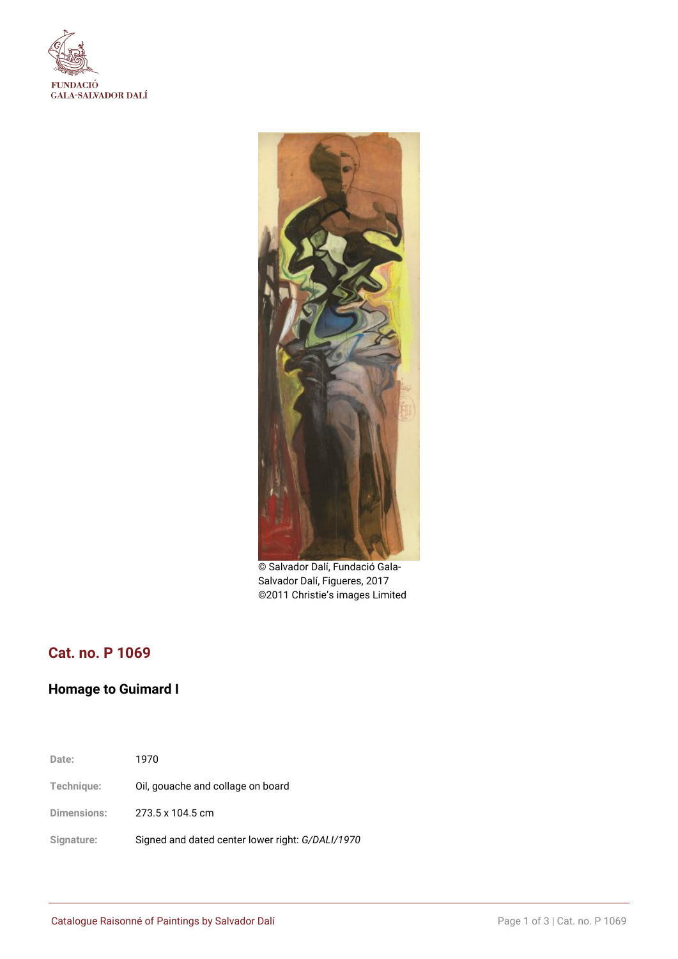



© Salvador Dalí, Fundació Gala-Salvador Dalí, Figueres, 2017 ©2011 Christie's images Limited

# **Cat. no. P 1069**

## **Homage to Guimard I**

**Date:** 1970 **Technique:** Oil, gouache and collage on board **Dimensions:** 273.5 x 104.5 cm **Signature:** Signed and dated center lower right: *G/DALI/1970*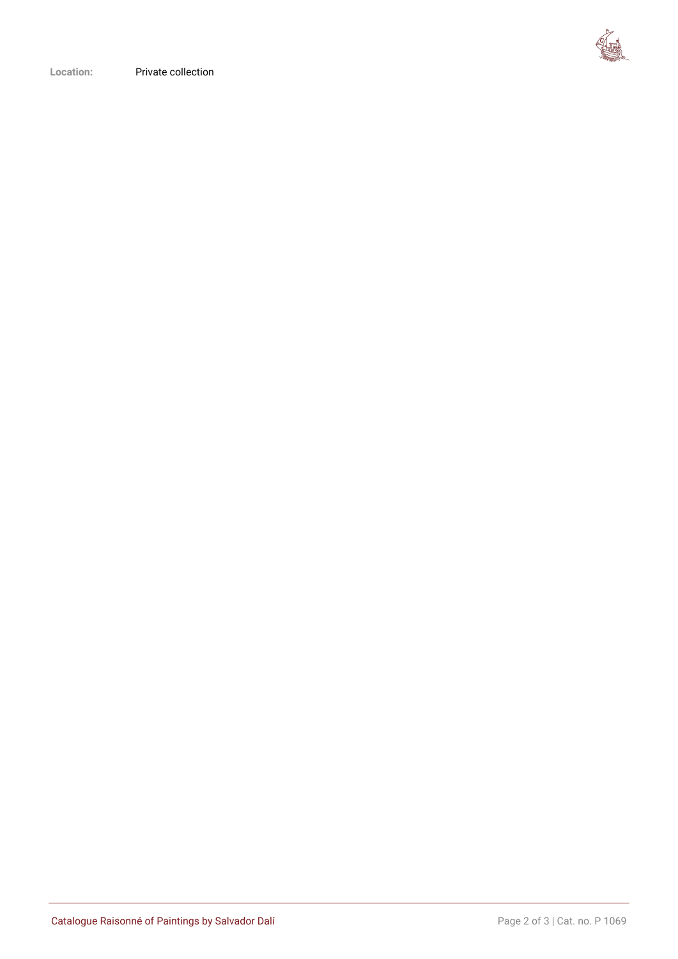

**Location:** Private collection